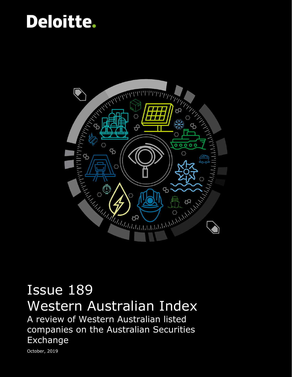## Deloitte.



## Issue 189 Western Australian Index

A review of Western Australian listed companies on the Australian Securities Exchange

October, 2019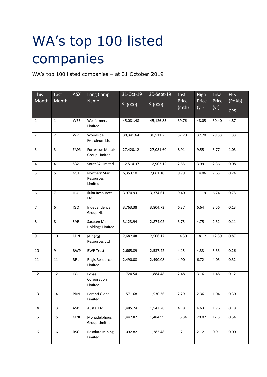## WA's top 100 listed companies

WA's top 100 listed companies – at 31 October 2019

| <b>This</b>    | Last           | <b>ASX</b> | Long Comp                                  | 31-Oct-19 | 30-Sept-19 | Last           | <b>High</b>   | Low           | <b>EPS</b>           |
|----------------|----------------|------------|--------------------------------------------|-----------|------------|----------------|---------------|---------------|----------------------|
| Month          | Month          |            | Name                                       | \$'(000)  | \$'(000)   | Price<br>(mth) | Price<br>(yr) | Price<br>(yr) | (PoAb)<br><b>CPS</b> |
| $\mathbf{1}$   | $\mathbf 1$    | WES        | Wesfarmers<br>Limited                      | 45,081.48 | 45,126.83  | 39.76          | 48.05         | 30.40         | 4.87                 |
| $\overline{2}$ | $2^{\circ}$    | <b>WPL</b> | Woodside<br>Petroleum Ltd.                 | 30,341.64 | 30,511.25  | 32.20          | 37.70         | 29.33         | 1.33                 |
| 3              | $\overline{3}$ | <b>FMG</b> | <b>Fortescue Metals</b><br>Group Limited   | 27,420.12 | 27,081.60  | 8.91           | 9.55          | 3.77          | 1.03                 |
| $\overline{4}$ | 4              | <b>S32</b> | South32 Limited                            | 12,514.37 | 12,903.12  | 2.55           | 3.99          | 2.36          | 0.08                 |
| 5              | 5              | <b>NST</b> | Northern Star<br>Resources<br>Limited      | 6,353.10  | 7,061.10   | 9.79           | 14.06         | 7.63          | 0.24                 |
| 6              | $\overline{7}$ | <b>ILU</b> | Iluka Resources<br>Ltd.                    | 3,970.93  | 3,374.61   | 9.40           | 11.19         | 6.74          | 0.75                 |
| $\overline{7}$ | 6              | <b>IGO</b> | Independence<br><b>Group NL</b>            | 3,763.38  | 3,804.73   | 6.37           | 6.64          | 3.56          | 0.13                 |
| 8              | 8              | SAR        | Saracen Mineral<br><b>Holdings Limited</b> | 3,123.94  | 2,874.02   | 3.75           | 4.75          | 2.32          | 0.11                 |
| 9              | 10             | MIN        | Mineral<br>Resources Ltd                   | 2,682.48  | 2,506.12   | 14.30          | 18.12         | 12.39         | 0.87                 |
| 10             | 9              | <b>BWP</b> | <b>BWP Trust</b>                           | 2,665.89  | 2,537.42   | 4.15           | 4.33          | 3.33          | 0.26                 |
| 11             | 11             | RRL        | Regis Resources<br>Limited                 | 2,490.08  | 2,490.08   | 4.90           | 6.72          | 4.03          | 0.32                 |
| 12             | 12             | <b>LYC</b> | Lynas<br>Corporation<br>Limited            | 1,724.54  | 1,884.48   | 2.48           | 3.16          | 1.48          | 0.12                 |
| 13             | 14             | PRN        | Perenti Global<br>Limited                  | 1,571.68  | 1,530.36   | 2.29           | 2.36          | 1.04          | 0.30                 |
| 14             | 13             | ASB        | Austal Ltd.                                | 1,485.74  | 1,542.28   | 4.18           | 4.63          | 1.76          | 0.18                 |
| 15             | 15             | <b>MND</b> | Monadelphous<br><b>Group Limited</b>       | 1,447.87  | 1,484.99   | 15.34          | 20.07         | 12.51         | 0.54                 |
| 16             | 16             | RSG        | <b>Resolute Mining</b><br>Limited          | 1,092.82  | 1,282.48   | 1.21           | 2.12          | 0.91          | 0.00                 |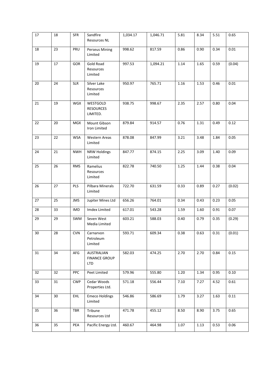| 17 | 18 | <b>SFR</b> | Sandfire<br>Resources NL                         | 1,034.17 | 1,046.71 | 5.81 | 8.34 | 5.51 | 0.65   |
|----|----|------------|--------------------------------------------------|----------|----------|------|------|------|--------|
| 18 | 23 | PRU        | <b>Perseus Mining</b><br>Limited                 | 998.62   | 817.59   | 0.86 | 0.90 | 0.34 | 0.01   |
| 19 | 17 | GOR        | Gold Road<br>Resources<br>Limited                | 997.53   | 1,094.21 | 1.14 | 1.65 | 0.59 | (0.04) |
| 20 | 24 | <b>SLR</b> | Silver Lake<br>Resources<br>Limited              | 950.97   | 765.71   | 1.16 | 1.53 | 0.46 | 0.01   |
| 21 | 19 | WGX        | WESTGOLD<br><b>RESOURCES</b><br>LIMITED.         | 938.75   | 998.67   | 2.35 | 2.57 | 0.80 | 0.04   |
| 22 | 20 | <b>MGX</b> | Mount Gibson<br>Iron Limited                     | 879.84   | 914.57   | 0.76 | 1.31 | 0.49 | 0.12   |
| 23 | 22 | <b>WSA</b> | Western Areas<br>Limited                         | 878.08   | 847.99   | 3.21 | 3.48 | 1.84 | 0.05   |
| 24 | 21 | <b>NWH</b> | <b>NRW Holdings</b><br>Limited                   | 847.77   | 874.15   | 2.25 | 3.09 | 1.40 | 0.09   |
| 25 | 26 | <b>RMS</b> | Ramelius<br>Resources<br>Limited                 | 822.78   | 740.50   | 1.25 | 1.44 | 0.38 | 0.04   |
| 26 | 27 | PLS        | Pilbara Minerals<br>Limited                      | 722.70   | 631.59   | 0.33 | 0.89 | 0.27 | (0.02) |
| 27 | 25 | <b>JMS</b> | Jupiter Mines Ltd                                | 656.26   | 764.01   | 0.34 | 0.43 | 0.23 | 0.05   |
| 28 | 33 | IMD        | Imdex Limited                                    | 617.01   | 543.28   | 1.59 | 1.60 | 0.91 | 0.07   |
| 29 | 29 | SWM        | Seven West<br>Media Limited                      | 603.21   | 588.03   | 0.40 | 0.79 | 0.35 | (0.29) |
| 30 | 28 | <b>CVN</b> | Carnarvon<br>Petroleum<br>Limited                | 593.71   | 609.34   | 0.38 | 0.63 | 0.31 | (0.01) |
| 31 | 34 | AFG        | AUSTRALIAN<br><b>FINANCE GROUP</b><br><b>LTD</b> | 582.03   | 474.25   | 2.70 | 2.70 | 0.84 | 0.15   |
| 32 | 32 | PPC        | Peet Limited                                     | 579.96   | 555.80   | 1.20 | 1.34 | 0.95 | 0.10   |
| 33 | 31 | <b>CWP</b> | Cedar Woods<br>Properties Ltd.                   | 571.18   | 556.44   | 7.10 | 7.27 | 4.52 | 0.61   |
| 34 | 30 | <b>EHL</b> | <b>Emeco Holdings</b><br>Limited                 | 546.86   | 586.69   | 1.79 | 3.27 | 1.63 | 0.11   |
| 35 | 36 | <b>TBR</b> | Tribune<br>Resources Ltd                         | 471.78   | 455.12   | 8.50 | 8.90 | 3.75 | 0.65   |
| 36 | 35 | PEA        | Pacific Energy Ltd.                              | 460.67   | 464.98   | 1.07 | 1.13 | 0.53 | 0.06   |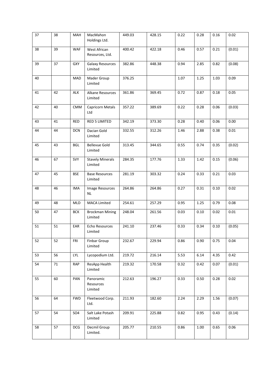| 37 | 38 | MAH        | MacMahon<br>Holdings Ltd.          | 449.03 | 428.15 | 0.22 | 0.28     | 0.16 | 0.02     |
|----|----|------------|------------------------------------|--------|--------|------|----------|------|----------|
| 38 | 39 | <b>WAF</b> | West African<br>Resources, Ltd.    | 400.42 | 422.18 | 0.46 | 0.57     | 0.21 | (0.01)   |
| 39 | 37 | <b>GXY</b> | <b>Galaxy Resources</b><br>Limited | 382.86 | 448.38 | 0.94 | 2.85     | 0.82 | (0.08)   |
| 40 |    | MAD        | Mader Group<br>Limited             | 376.25 |        | 1.07 | 1.25     | 1.03 | 0.09     |
| 41 | 42 | ALK        | Alkane Resources<br>Limited        | 361.86 | 369.45 | 0.72 | 0.87     | 0.18 | 0.05     |
| 42 | 40 | <b>CMM</b> | Capricorn Metals<br>Ltd            | 357.22 | 389.69 | 0.22 | 0.28     | 0.06 | (0.03)   |
| 43 | 41 | <b>RED</b> | RED 5 LIMITED                      | 342.19 | 373.30 | 0.28 | 0.40     | 0.06 | 0.00     |
| 44 | 44 | <b>DCN</b> | Dacian Gold<br>Limited             | 332.55 | 312.26 | 1.46 | 2.88     | 0.38 | $0.01\,$ |
| 45 | 43 | <b>BGL</b> | <b>Bellevue Gold</b><br>Limited    | 313.45 | 344.65 | 0.55 | 0.74     | 0.35 | (0.02)   |
| 46 | 67 | SVY        | <b>Stavely Minerals</b><br>Limited | 284.35 | 177.76 | 1.33 | 1.42     | 0.15 | (0.06)   |
| 47 | 45 | <b>BSE</b> | <b>Base Resources</b><br>Limited   | 281.19 | 303.32 | 0.24 | 0.33     | 0.21 | 0.03     |
| 48 | 46 | <b>IMA</b> | Image Resources<br>NL              | 264.86 | 264.86 | 0.27 | 0.31     | 0.10 | 0.02     |
| 49 | 48 | MLD        | <b>MACA Limited</b>                | 254.61 | 257.29 | 0.95 | 1.25     | 0.79 | 0.08     |
| 50 | 47 | <b>BCK</b> | <b>Brockman Mining</b><br>Limited  | 248.04 | 261.56 | 0.03 | 0.10     | 0.02 | $0.01\,$ |
| 51 | 51 | EAR        | Echo Resources<br>Limited          | 241.10 | 237.46 | 0.33 | 0.34     | 0.10 | (0.05)   |
| 52 | 52 | FRI        | Finbar Group<br>Limited            | 232.67 | 229.94 | 0.86 | 0.90     | 0.75 | 0.04     |
| 53 | 56 | LYL        | Lycopodium Ltd.                    | 219.72 | 216.14 | 5.53 | 6.14     | 4.35 | 0.42     |
| 54 | 71 | <b>RAP</b> | ResApp Health<br>Limited           | 219.32 | 170.58 | 0.32 | 0.42     | 0.07 | (0.01)   |
| 55 | 60 | PAN        | Panoramic<br>Resources<br>Limited  | 212.63 | 196.27 | 0.33 | 0.50     | 0.28 | 0.02     |
| 56 | 64 | <b>FWD</b> | Fleetwood Corp.<br>Ltd.            | 211.93 | 182.60 | 2.24 | 2.29     | 1.56 | (0.07)   |
| 57 | 54 | <b>SO4</b> | Salt Lake Potash<br>Limited        | 209.91 | 225.88 | 0.82 | 0.95     | 0.43 | (0.14)   |
| 58 | 57 | DCG        | Decmil Group<br>Limited.           | 205.77 | 210.55 | 0.86 | $1.00\,$ | 0.65 | 0.06     |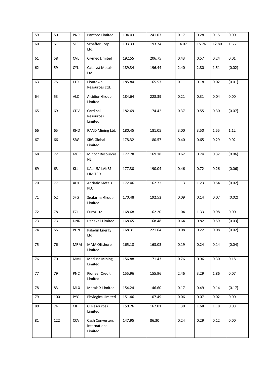| 59 | 50  | <b>PNR</b> | Pantoro Limited                             | 194.03 | 241.07 | 0.17  | 0.28  | 0.15  | 0.00   |
|----|-----|------------|---------------------------------------------|--------|--------|-------|-------|-------|--------|
| 60 | 61  | <b>SFC</b> | Schaffer Corp.<br>Ltd.                      | 193.33 | 193.74 | 14.07 | 15.76 | 12.80 | 1.66   |
| 61 | 58  | <b>CVL</b> | Civmec Limited                              | 192.55 | 206.75 | 0.43  | 0.57  | 0.24  | 0.01   |
| 62 | 59  | <b>CYL</b> | <b>Catalyst Metals</b><br>Ltd               | 189.34 | 196.44 | 2.40  | 2.80  | 1.51  | (0.02) |
| 63 | 75  | <b>LTR</b> | Liontown<br>Resources Ltd.                  | 185.84 | 165.57 | 0.11  | 0.18  | 0.02  | (0.01) |
| 64 | 53  | <b>ALC</b> | <b>Alcidion Group</b><br>Limited            | 184.64 | 228.39 | 0.21  | 0.31  | 0.04  | 0.00   |
| 65 | 69  | CDV        | Cardinal<br>Resources<br>Limited            | 182.69 | 174.42 | 0.37  | 0.55  | 0.30  | (0.07) |
| 66 | 65  | <b>RND</b> | RAND Mining Ltd.                            | 180.45 | 181.05 | 3.00  | 3.50  | 1.55  | 1.12   |
| 67 | 66  | SRG        | SRG Global<br>Limited                       | 178.32 | 180.57 | 0.40  | 0.65  | 0.29  | 0.02   |
| 68 | 72  | <b>MCR</b> | <b>Mincor Resources</b><br><b>NL</b>        | 177.78 | 169.18 | 0.62  | 0.74  | 0.32  | (0.06) |
| 69 | 63  | KLL        | KALIUM LAKES<br>LIMITED                     | 177.30 | 190.04 | 0.46  | 0.72  | 0.26  | (0.06) |
| 70 | 77  | ADT        | <b>Adriatic Metals</b><br><b>PLC</b>        | 172.46 | 162.72 | 1.13  | 1.23  | 0.54  | (0.02) |
| 71 | 62  | SFG        | Seafarms Group<br>Limited                   | 170.48 | 192.52 | 0.09  | 0.14  | 0.07  | (0.02) |
| 72 | 78  | EZL        | Euroz Ltd.                                  | 168.68 | 162.20 | 1.04  | 1.33  | 0.98  | 0.00   |
| 73 | 73  | <b>DNK</b> | Danakali Limited                            | 168.65 | 168.48 | 0.64  | 0.82  | 0.59  | (0.03) |
| 74 | 55  | PDN        | Paladin Energy<br>Ltd                       | 168.31 | 221.64 | 0.08  | 0.22  | 0.08  | (0.02) |
| 75 | 76  | <b>MRM</b> | MMA Offshore<br>Limited                     | 165.18 | 163.03 | 0.19  | 0.24  | 0.14  | (0.04) |
| 76 | 70  | MML        | <b>Medusa Mining</b><br>Limited             | 156.88 | 171.43 | 0.76  | 0.96  | 0.30  | 0.18   |
| 77 | 79  | <b>PNC</b> | Pioneer Credit<br>Limited                   | 155.96 | 155.96 | 2.46  | 3.29  | 1.86  | 0.07   |
| 78 | 83  | <b>MLX</b> | Metals X Limited                            | 154.24 | 146.60 | 0.17  | 0.49  | 0.14  | (0.17) |
| 79 | 100 | <b>PYC</b> | Phylogica Limited                           | 151.46 | 107.49 | 0.06  | 0.07  | 0.02  | 0.00   |
| 80 | 74  | CII        | CI Resources<br>Limited                     | 150.26 | 167.01 | 1.30  | 1.68  | 1.18  | 0.08   |
| 81 | 122 | <b>CCV</b> | Cash Converters<br>International<br>Limited | 147.95 | 86.30  | 0.24  | 0.29  | 0.12  | 0.00   |